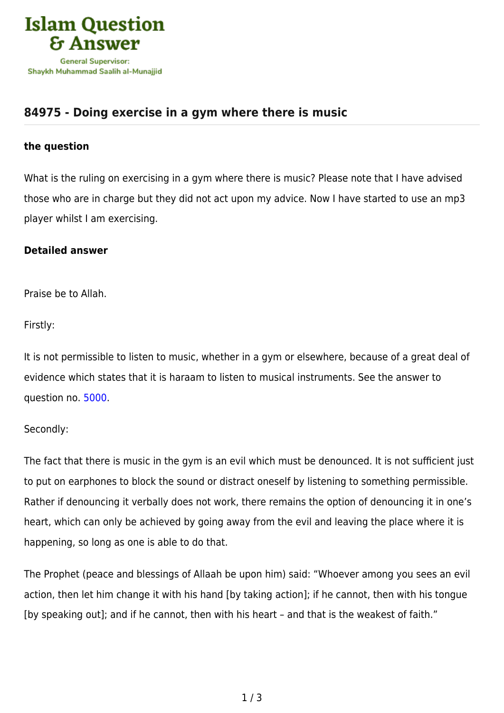

# **[84975 - Doing exercise in a gym where there is music](https://islamqa.com/en/answers/84975/doing-exercise-in-a-gym-where-there-is-music)**

### **the question**

What is the ruling on exercising in a gym where there is music? Please note that I have advised those who are in charge but they did not act upon my advice. Now I have started to use an mp3 player whilst I am exercising.

## **Detailed answer**

Praise be to Allah.

Firstly:

It is not permissible to listen to music, whether in a gym or elsewhere, because of a great deal of evidence which states that it is haraam to listen to musical instruments. See the answer to question no. [5000](https://islamqa.com/en/answers/5000).

## Secondly:

The fact that there is music in the gym is an evil which must be denounced. It is not sufficient just to put on earphones to block the sound or distract oneself by listening to something permissible. Rather if denouncing it verbally does not work, there remains the option of denouncing it in one's heart, which can only be achieved by going away from the evil and leaving the place where it is happening, so long as one is able to do that.

The Prophet (peace and blessings of Allaah be upon him) said: "Whoever among you sees an evil action, then let him change it with his hand [by taking action]; if he cannot, then with his tongue [by speaking out]; and if he cannot, then with his heart – and that is the weakest of faith."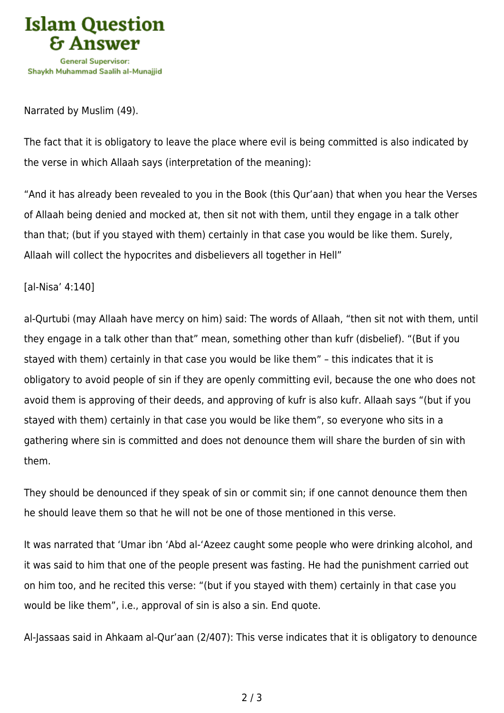

#### Narrated by Muslim (49).

The fact that it is obligatory to leave the place where evil is being committed is also indicated by the verse in which Allaah says (interpretation of the meaning):

"And it has already been revealed to you in the Book (this Qur'aan) that when you hear the Verses of Allaah being denied and mocked at, then sit not with them, until they engage in a talk other than that; (but if you stayed with them) certainly in that case you would be like them. Surely, Allaah will collect the hypocrites and disbelievers all together in Hell"

#### [al-Nisa' 4:140]

al-Qurtubi (may Allaah have mercy on him) said: The words of Allaah, "then sit not with them, until they engage in a talk other than that" mean, something other than kufr (disbelief). "(But if you stayed with them) certainly in that case you would be like them" – this indicates that it is obligatory to avoid people of sin if they are openly committing evil, because the one who does not avoid them is approving of their deeds, and approving of kufr is also kufr. Allaah says "(but if you stayed with them) certainly in that case you would be like them", so everyone who sits in a gathering where sin is committed and does not denounce them will share the burden of sin with them.

They should be denounced if they speak of sin or commit sin; if one cannot denounce them then he should leave them so that he will not be one of those mentioned in this verse.

It was narrated that 'Umar ibn 'Abd al-'Azeez caught some people who were drinking alcohol, and it was said to him that one of the people present was fasting. He had the punishment carried out on him too, and he recited this verse: "(but if you stayed with them) certainly in that case you would be like them", i.e., approval of sin is also a sin. End quote.

Al-Jassaas said in Ahkaam al-Qur'aan (2/407): This verse indicates that it is obligatory to denounce